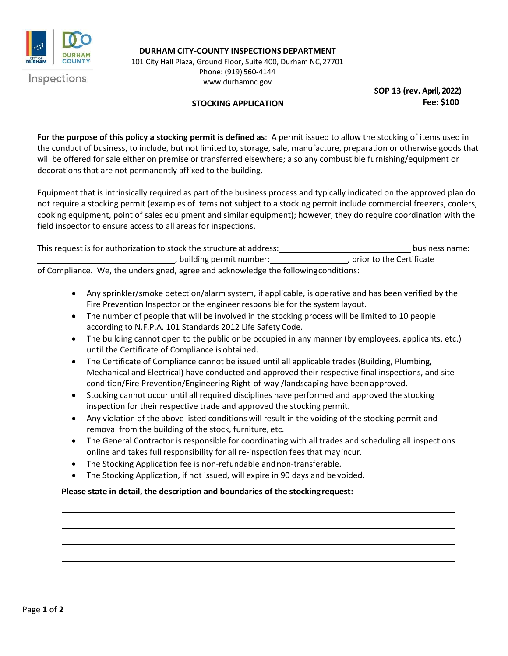

**DURHAM CITY-COUNTY INSPECTIONS DEPARTMENT** 

101 City Hall Plaza, Ground Floor, Suite 400, Durham NC,27701 Phone: (919) 560-4144 [www.durhamnc.gov](http://www.durhamnc.gov/)

**SOP 13 (rev. April, 2022) Fee: \$100**

## **STOCKING APPLICATION**

**For the purpose of this policy a stocking permit is defined as**: A permit issued to allow the stocking of items used in the conduct of business, to include, but not limited to, storage, sale, manufacture, preparation or otherwise goods that will be offered for sale either on premise or transferred elsewhere; also any combustible furnishing/equipment or decorations that are not permanently affixed to the building.

Equipment that is intrinsically required as part of the business process and typically indicated on the approved plan do not require a stocking permit (examples of items not subject to a stocking permit include commercial freezers, coolers, cooking equipment, point of sales equipment and similar equipment); however, they do require coordination with the field inspector to ensure access to all areas for inspections.

This request is for authorization to stock the structure at address: business name: business name: , building permit number:<br>
prior to the Certificate of Compliance. We, the undersigned, agree and acknowledge the followingconditions:

- Any sprinkler/smoke detection/alarm system, if applicable, is operative and has been verified by the Fire Prevention Inspector or the engineer responsible for the systemlayout.
- The number of people that will be involved in the stocking process will be limited to 10 people according to N.F.P.A. 101 Standards 2012 Life Safety Code.
- The building cannot open to the public or be occupied in any manner (by employees, applicants, etc.) until the Certificate of Compliance is obtained.
- The Certificate of Compliance cannot be issued until all applicable trades (Building, Plumbing, Mechanical and Electrical) have conducted and approved their respective final inspections, and site condition/Fire Prevention/Engineering Right-of-way /landscaping have beenapproved.
- Stocking cannot occur until all required disciplines have performed and approved the stocking inspection for their respective trade and approved the stocking permit.
- Any violation of the above listed conditions will result in the voiding of the stocking permit and removal from the building of the stock, furniture, etc.
- The General Contractor is responsible for coordinating with all trades and scheduling all inspections online and takes full responsibility for all re-inspection fees that mayincur.
- The Stocking Application fee is non-refundable andnon-transferable.
- The Stocking Application, if not issued, will expire in 90 days and bevoided.

## **Please state in detail, the description and boundaries of the stockingrequest:**